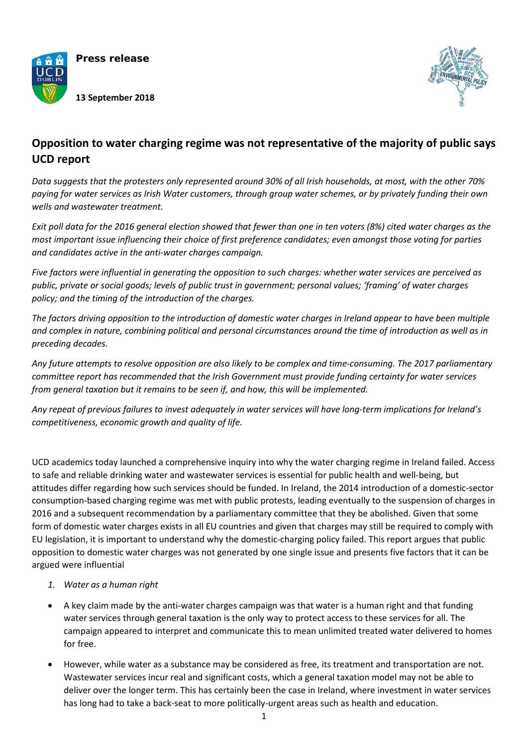

**Press release**

**13 September 2018**



## **Opposition to water charging regime was not representative of the majority of public says UCD report**

*Data suggests that the protesters only represented around 30% of all Irish households, at most, with the other 70% paying for water services as Irish Water customers, through group water schemes, or by privately funding their own wells and wastewater treatment.*

*Exit poll data for the 2016 general election showed that fewer than one in ten voters (8%) cited water charges as the most important issue influencing their choice of first preference candidates; even amongst those voting for parties and candidates active in the anti-water charges campaign.* 

*Five factors were influential in generating the opposition to such charges: whether water services are perceived as public, private or social goods; levels of public trust in government; personal values; 'framing' of water charges policy; and the timing of the introduction of the charges.*

*The factors driving opposition to the introduction of domestic water charges in Ireland appear to have been multiple and complex in nature, combining political and personal circumstances around the time of introduction as well as in preceding decades.*

*Any future attempts to resolve opposition are also likely to be complex and time-consuming. The 2017 parliamentary committee report has recommended that the Irish Government must provide funding certainty for water services from general taxation but it remains to be seen if, and how, this will be implemented.* 

*Any repeat of previous failures to invest adequately in water services will have long-term implications for Ireland's competitiveness, economic growth and quality of life.*

UCD academics today launched a comprehensive inquiry into why the water charging regime in Ireland failed. Access to safe and reliable drinking water and wastewater services is essential for public health and well-being, but attitudes differ regarding how such services should be funded. In Ireland, the 2014 introduction of a domestic-sector consumption-based charging regime was met with public protests, leading eventually to the suspension of charges in 2016 and a subsequent recommendation by a parliamentary committee that they be abolished. Given that some form of domestic water charges exists in all EU countries and given that charges may still be required to comply with EU legislation, it is important to understand why the domestic-charging policy failed. This report argues that public opposition to domestic water charges was not generated by one single issue and presents five factors that it can be argued were influential

## *1. Water as a human right*

- A key claim made by the anti-water charges campaign was that water is a human right and that funding water services through general taxation is the only way to protect access to these services for all. The campaign appeared to interpret and communicate this to mean unlimited treated water delivered to homes for free.
- However, while water as a substance may be considered as free, its treatment and transportation are not. Wastewater services incur real and significant costs, which a general taxation model may not be able to deliver over the longer term. This has certainly been the case in Ireland, where investment in water services has long had to take a back-seat to more politically-urgent areas such as health and education.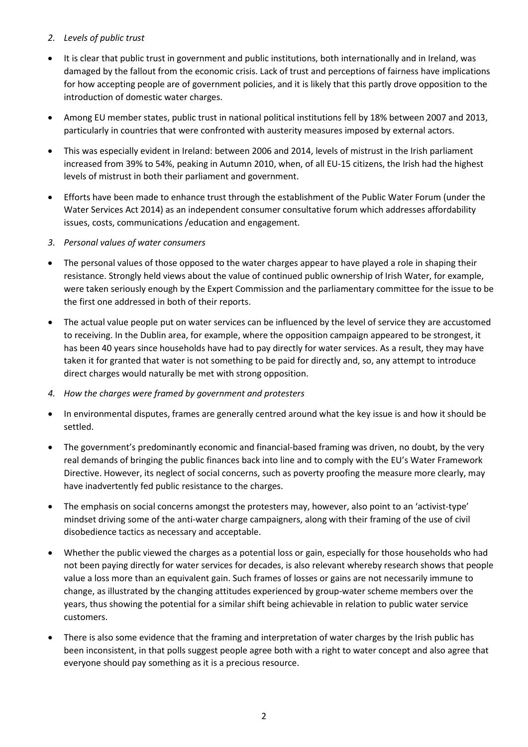## *2. Levels of public trust*

- It is clear that public trust in government and public institutions, both internationally and in Ireland, was damaged by the fallout from the economic crisis. Lack of trust and perceptions of fairness have implications for how accepting people are of government policies, and it is likely that this partly drove opposition to the introduction of domestic water charges.
- Among EU member states, public trust in national political institutions fell by 18% between 2007 and 2013, particularly in countries that were confronted with austerity measures imposed by external actors.
- This was especially evident in Ireland: between 2006 and 2014, levels of mistrust in the Irish parliament increased from 39% to 54%, peaking in Autumn 2010, when, of all EU-15 citizens, the Irish had the highest levels of mistrust in both their parliament and government.
- Efforts have been made to enhance trust through the establishment of the Public Water Forum (under the Water Services Act 2014) as an independent consumer consultative forum which addresses affordability issues, costs, communications /education and engagement.
- *3. Personal values of water consumers*
- The personal values of those opposed to the water charges appear to have played a role in shaping their resistance. Strongly held views about the value of continued public ownership of Irish Water, for example, were taken seriously enough by the Expert Commission and the parliamentary committee for the issue to be the first one addressed in both of their reports.
- The actual value people put on water services can be influenced by the level of service they are accustomed to receiving. In the Dublin area, for example, where the opposition campaign appeared to be strongest, it has been 40 years since households have had to pay directly for water services. As a result, they may have taken it for granted that water is not something to be paid for directly and, so, any attempt to introduce direct charges would naturally be met with strong opposition.
- *4. How the charges were framed by government and protesters*
- In environmental disputes, frames are generally centred around what the key issue is and how it should be settled.
- The government's predominantly economic and financial-based framing was driven, no doubt, by the very real demands of bringing the public finances back into line and to comply with the EU's Water Framework Directive. However, its neglect of social concerns, such as poverty proofing the measure more clearly, may have inadvertently fed public resistance to the charges.
- The emphasis on social concerns amongst the protesters may, however, also point to an 'activist-type' mindset driving some of the anti-water charge campaigners, along with their framing of the use of civil disobedience tactics as necessary and acceptable.
- Whether the public viewed the charges as a potential loss or gain, especially for those households who had not been paying directly for water services for decades, is also relevant whereby research shows that people value a loss more than an equivalent gain. Such frames of losses or gains are not necessarily immune to change, as illustrated by the changing attitudes experienced by group-water scheme members over the years, thus showing the potential for a similar shift being achievable in relation to public water service customers.
- There is also some evidence that the framing and interpretation of water charges by the Irish public has been inconsistent, in that polls suggest people agree both with a right to water concept and also agree that everyone should pay something as it is a precious resource.